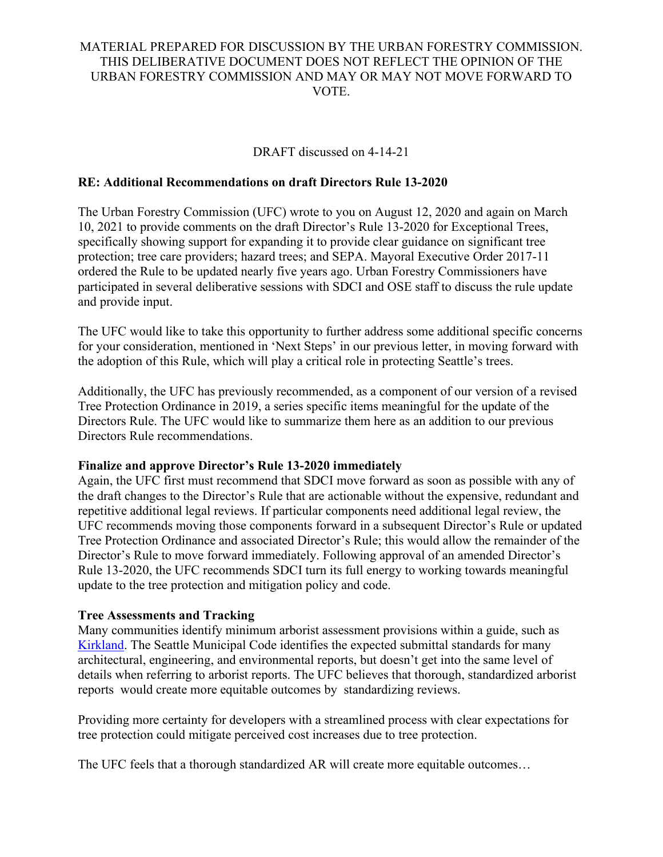DRAFT discussed on 4-14-21

# **RE: Additional Recommendations on draft Directors Rule 13-2020**

The Urban Forestry Commission (UFC) wrote to you on August 12, 2020 and again on March 10, 2021 to provide comments on the draft Director's Rule 13-2020 for Exceptional Trees, specifically showing support for expanding it to provide clear guidance on significant tree protection; tree care providers; hazard trees; and SEPA. Mayoral Executive Order 2017-11 ordered the Rule to be updated nearly five years ago. Urban Forestry Commissioners have participated in several deliberative sessions with SDCI and OSE staff to discuss the rule update and provide input.

The UFC would like to take this opportunity to further address some additional specific concerns for your consideration, mentioned in 'Next Steps' in our previous letter, in moving forward with the adoption of this Rule, which will play a critical role in protecting Seattle's trees.

Additionally, the UFC has previously recommended, as a component of our version of a revised Tree Protection Ordinance in 2019, a series specific items meaningful for the update of the Directors Rule. The UFC would like to summarize them here as an addition to our previous Directors Rule recommendations.

#### **Finalize and approve Director's Rule 13-2020 immediately**

Again, the UFC first must recommend that SDCI move forward as soon as possible with any of the draft changes to the Director's Rule that are actionable without the expensive, redundant and repetitive additional legal reviews. If particular components need additional legal review, the UFC recommends moving those components forward in a subsequent Director's Rule or updated Tree Protection Ordinance and associated Director's Rule; this would allow the remainder of the Director's Rule to move forward immediately. Following approval of an amended Director's Rule 13-2020, the UFC recommends SDCI turn its full energy to working towards meaningful update to the tree protection and mitigation policy and code.

#### **Tree Assessments and Tracking**

Many communities identify minimum arborist assessment provisions within a guide, such as [Kirkland.](https://www.kirklandwa.gov/Government/Departments/Planning-and-Building/Urban-Forestry/Arborist-Reports-Guide) The Seattle Municipal Code identifies the expected submittal standards for many architectural, engineering, and environmental reports, but doesn't get into the same level of details when referring to arborist reports. The UFC believes that thorough, standardized arborist reports would create more equitable outcomes by standardizing reviews.

Providing more certainty for developers with a streamlined process with clear expectations for tree protection could mitigate perceived cost increases due to tree protection.

The UFC feels that a thorough standardized AR will create more equitable outcomes…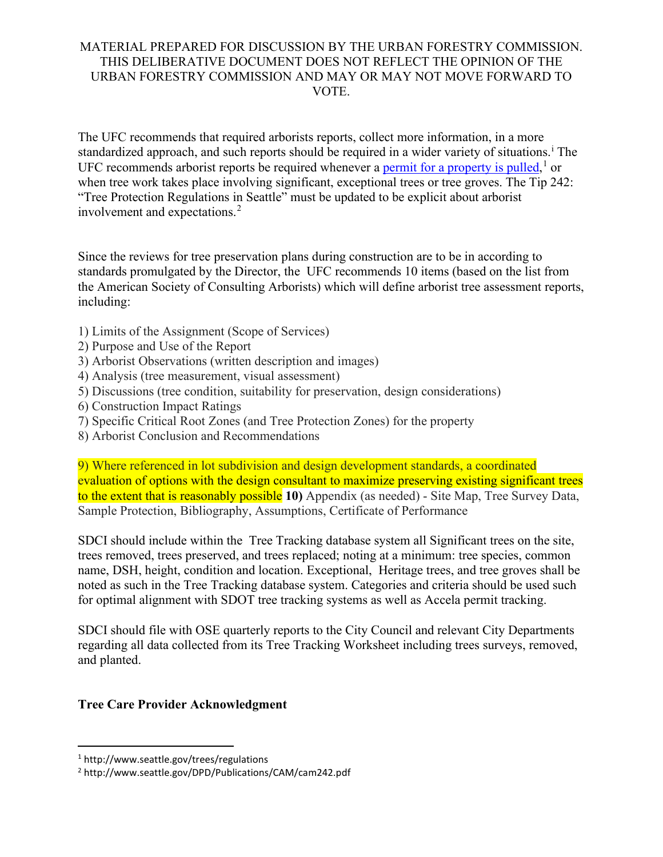The UFC recommends that required arborists reports, collect more information, in a more standard[i](#page-2-0)zed approach, and such reports should be required in a wider variety of situations.<sup>1</sup> The UFC recommends arborist reports be required whenever a **permit for a property is pulled**,<sup>[1](#page-1-0)</sup> or when tree work takes place involving significant, exceptional trees or tree groves. The Tip 242: "Tree Protection Regulations in Seattle" must be updated to be explicit about arborist involvement and expectations.[2](#page-1-1)

Since the reviews for tree preservation plans during construction are to be in according to standards promulgated by the Director, the UFC recommends 10 items (based on the list from the American Society of Consulting Arborists) which will define arborist tree assessment reports, including:

- 1) Limits of the Assignment (Scope of Services)
- 2) Purpose and Use of the Report
- 3) Arborist Observations (written description and images)
- 4) Analysis (tree measurement, visual assessment)
- 5) Discussions (tree condition, suitability for preservation, design considerations)
- 6) Construction Impact Ratings
- 7) Specific Critical Root Zones (and Tree Protection Zones) for the property
- 8) Arborist Conclusion and Recommendations

9) Where referenced in lot subdivision and design development standards, a coordinated evaluation of options with the design consultant to maximize preserving existing significant trees to the extent that is reasonably possible **10)** Appendix (as needed) - Site Map, Tree Survey Data, Sample Protection, Bibliography, Assumptions, Certificate of Performance

SDCI should include within the Tree Tracking database system all Significant trees on the site, trees removed, trees preserved, and trees replaced; noting at a minimum: tree species, common name, DSH, height, condition and location. Exceptional, Heritage trees, and tree groves shall be noted as such in the Tree Tracking database system. Categories and criteria should be used such for optimal alignment with SDOT tree tracking systems as well as Accela permit tracking.

SDCI should file with OSE quarterly reports to the City Council and relevant City Departments regarding all data collected from its Tree Tracking Worksheet including trees surveys, removed, and planted.

# **Tree Care Provider Acknowledgment**

<span id="page-1-0"></span><sup>1</sup> http://www.seattle.gov/trees/regulations

<span id="page-1-1"></span><sup>2</sup> http://www.seattle.gov/DPD/Publications/CAM/cam242.pdf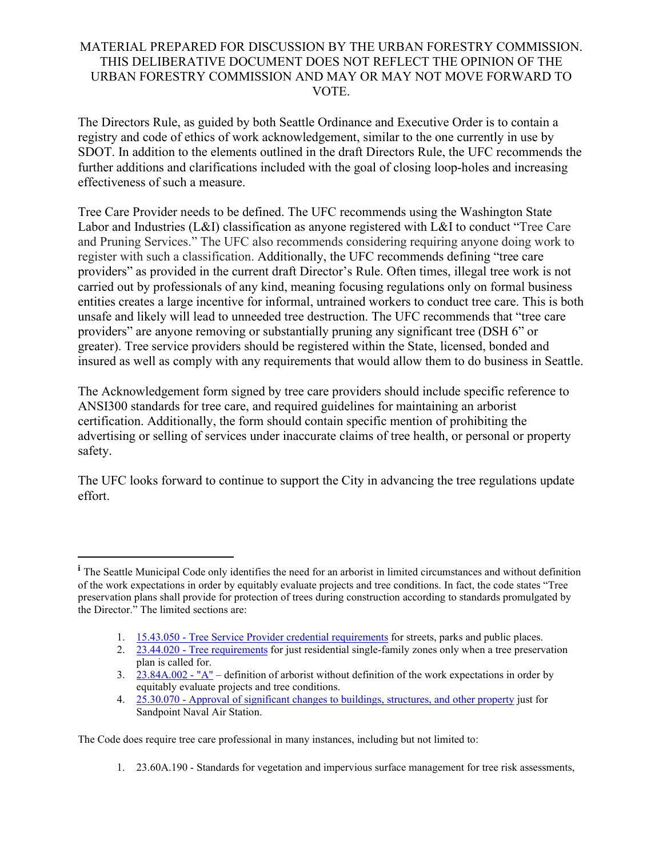The Directors Rule, as guided by both Seattle Ordinance and Executive Order is to contain a registry and code of ethics of work acknowledgement, similar to the one currently in use by SDOT. In addition to the elements outlined in the draft Directors Rule, the UFC recommends the further additions and clarifications included with the goal of closing loop-holes and increasing effectiveness of such a measure.

Tree Care Provider needs to be defined. The UFC recommends using the Washington State Labor and Industries (L&I) classification as anyone registered with L&I to conduct "Tree Care" and Pruning Services." The UFC also recommends considering requiring anyone doing work to register with such a classification. Additionally, the UFC recommends defining "tree care providers" as provided in the current draft Director's Rule. Often times, illegal tree work is not carried out by professionals of any kind, meaning focusing regulations only on formal business entities creates a large incentive for informal, untrained workers to conduct tree care. This is both unsafe and likely will lead to unneeded tree destruction. The UFC recommends that "tree care providers" are anyone removing or substantially pruning any significant tree (DSH 6" or greater). Tree service providers should be registered within the State, licensed, bonded and insured as well as comply with any requirements that would allow them to do business in Seattle.

The Acknowledgement form signed by tree care providers should include specific reference to ANSI300 standards for tree care, and required guidelines for maintaining an arborist certification. Additionally, the form should contain specific mention of prohibiting the advertising or selling of services under inaccurate claims of tree health, or personal or property safety.

The UFC looks forward to continue to support the City in advancing the tree regulations update effort.

<span id="page-2-0"></span>The Code does require tree care professional in many instances, including but not limited to:

<sup>&</sup>lt;sup>*i*</sup> The Seattle Municipal Code only identifies the need for an arborist in limited circumstances and without definition of the work expectations in order by equitably evaluate projects and tree conditions. In fact, the code states "Tree preservation plans shall provide for protection of trees during construction according to standards promulgated by the Director." The limited sections are:

<sup>1.</sup> 15.43.050 - [Tree Service Provider credential requirements](https://library.municode.com/wa/seattle/codes/municipal_code?nodeId=TIT15STSIUS_SUBTITLE_ISTUSOR_CH15.43TRVEMAPUPL_15.43.050TRSEPRRE) for streets, parks and public places.

<sup>2.</sup> 23.44.020 - [Tree requirements](https://library.municode.com/wa/seattle/codes/municipal_code?nodeId=TIT23LAUSCO_SUBTITLE_IIILAUSRE_CH23.44RESIMI_SUBCHAPTER_IPRUSPEOU_23.44.020TRRE) for just residential single-family zones only when a tree preservation plan is called for.

<sup>3.</sup> [23.84A.002 -](https://library.municode.com/wa/seattle/codes/municipal_code?nodeId=TIT23LAUSCO_SUBTITLE_IVAD_CH23.84ADE_23.84A.002A) "A" – definition of arborist without definition of the work expectations in order by equitably evaluate projects and tree conditions.

<sup>4.</sup> 25.30.070 - [Approval of significant changes to buildings, structures, and other property](https://library.municode.com/wa/seattle/codes/municipal_code?nodeId=TIT25ENPRHIPR_CH25.30SAPONAAISTLADI_25.30.070APSICHBUSTOTPR) just for Sandpoint Naval Air Station.

<sup>1.</sup> 23.60A.190 - Standards for vegetation and impervious surface management for tree risk assessments,